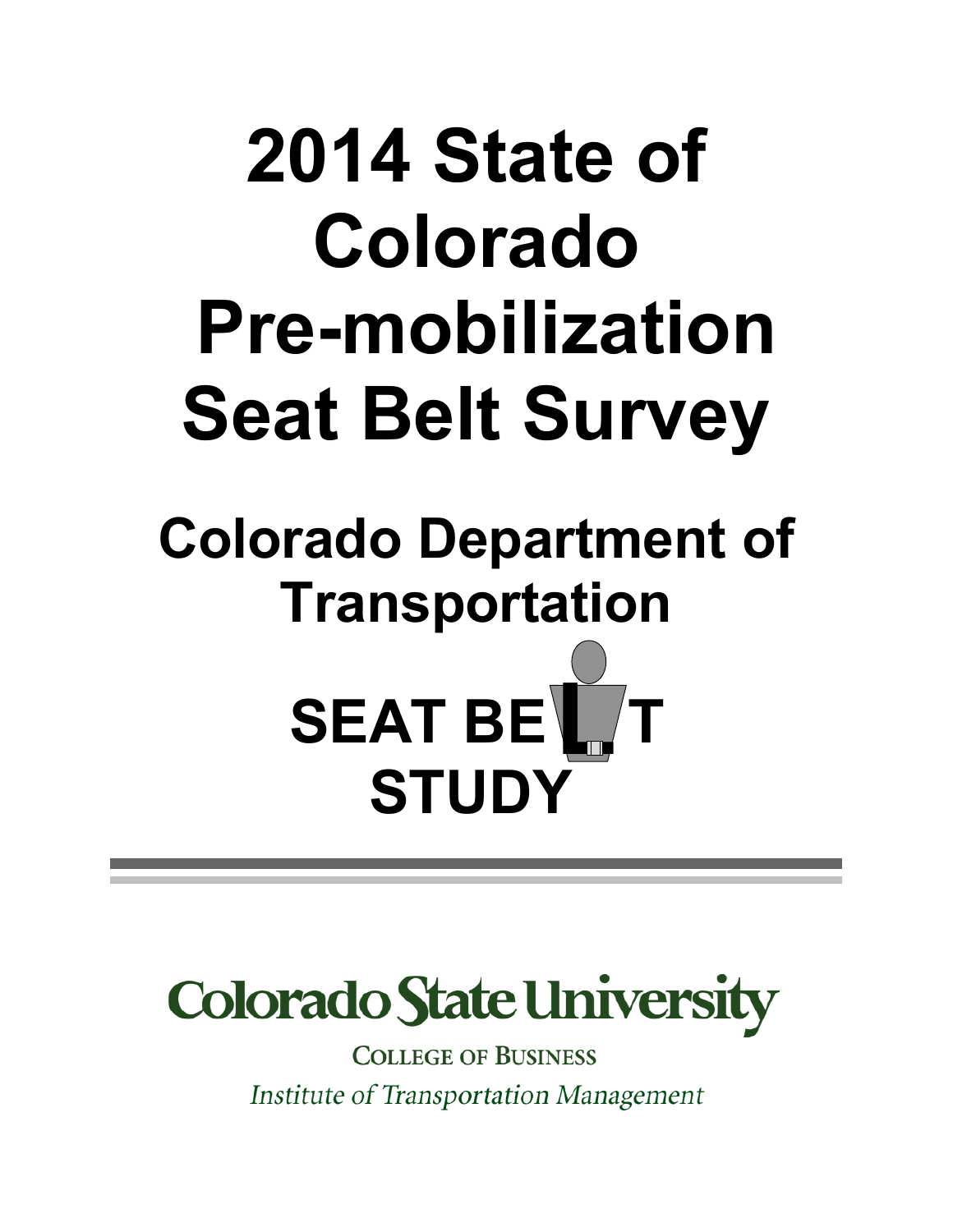# **2014 State of Colorado Pre-mobilization Seat Belt Survey**

## **Colorado Department of Transportation SEAT BET STUDY**



**COLLEGE OF BUSINESS** Institute of Transportation Management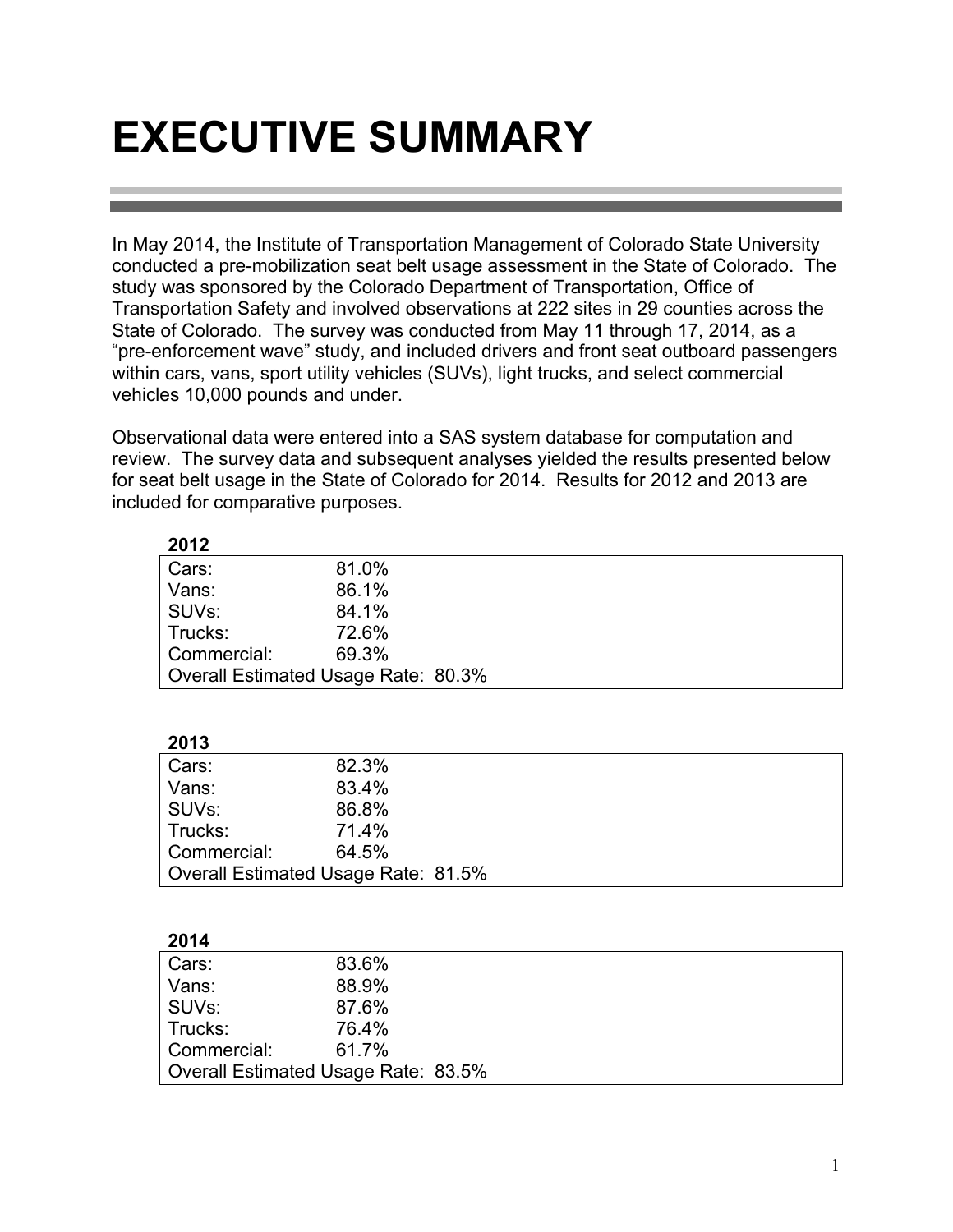### **EXECUTIVE SUMMARY**

**2012**

In May 2014, the Institute of Transportation Management of Colorado State University conducted a pre-mobilization seat belt usage assessment in the State of Colorado. The study was sponsored by the Colorado Department of Transportation, Office of Transportation Safety and involved observations at 222 sites in 29 counties across the State of Colorado. The survey was conducted from May 11 through 17, 2014, as a "pre-enforcement wave" study, and included drivers and front seat outboard passengers within cars, vans, sport utility vehicles (SUVs), light trucks, and select commercial vehicles 10,000 pounds and under.

Observational data were entered into a SAS system database for computation and review. The survey data and subsequent analyses yielded the results presented below for seat belt usage in the State of Colorado for 2014. Results for 2012 and 2013 are included for comparative purposes.

| ZUIZ               |                                     |
|--------------------|-------------------------------------|
| Cars:              | 81.0%                               |
| Vans:              | 86.1%                               |
| SUV <sub>s</sub> : | 84.1%                               |
| Trucks:            | 72.6%                               |
| Commercial:        | 69.3%                               |
|                    | Overall Estimated Usage Rate: 80.3% |
|                    |                                     |
|                    |                                     |
| 2013               |                                     |
| Cars:              | 82.3%                               |
| Vans:              | 83.4%                               |
| SUV <sub>s</sub> : | 86.8%                               |
| Trucks:            | 71.4%                               |
| Commercial:        | 64.5%                               |
|                    | Overall Estimated Usage Rate: 81.5% |
|                    |                                     |
|                    |                                     |
| 2014               |                                     |
|                    |                                     |

| Cars:       | 83.6%                               |  |
|-------------|-------------------------------------|--|
| Vans:       | 88.9%                               |  |
| SUVs:       | 87.6%                               |  |
| Trucks:     | 76.4%                               |  |
| Commercial: | 61.7%                               |  |
|             | Overall Estimated Usage Rate: 83.5% |  |
|             |                                     |  |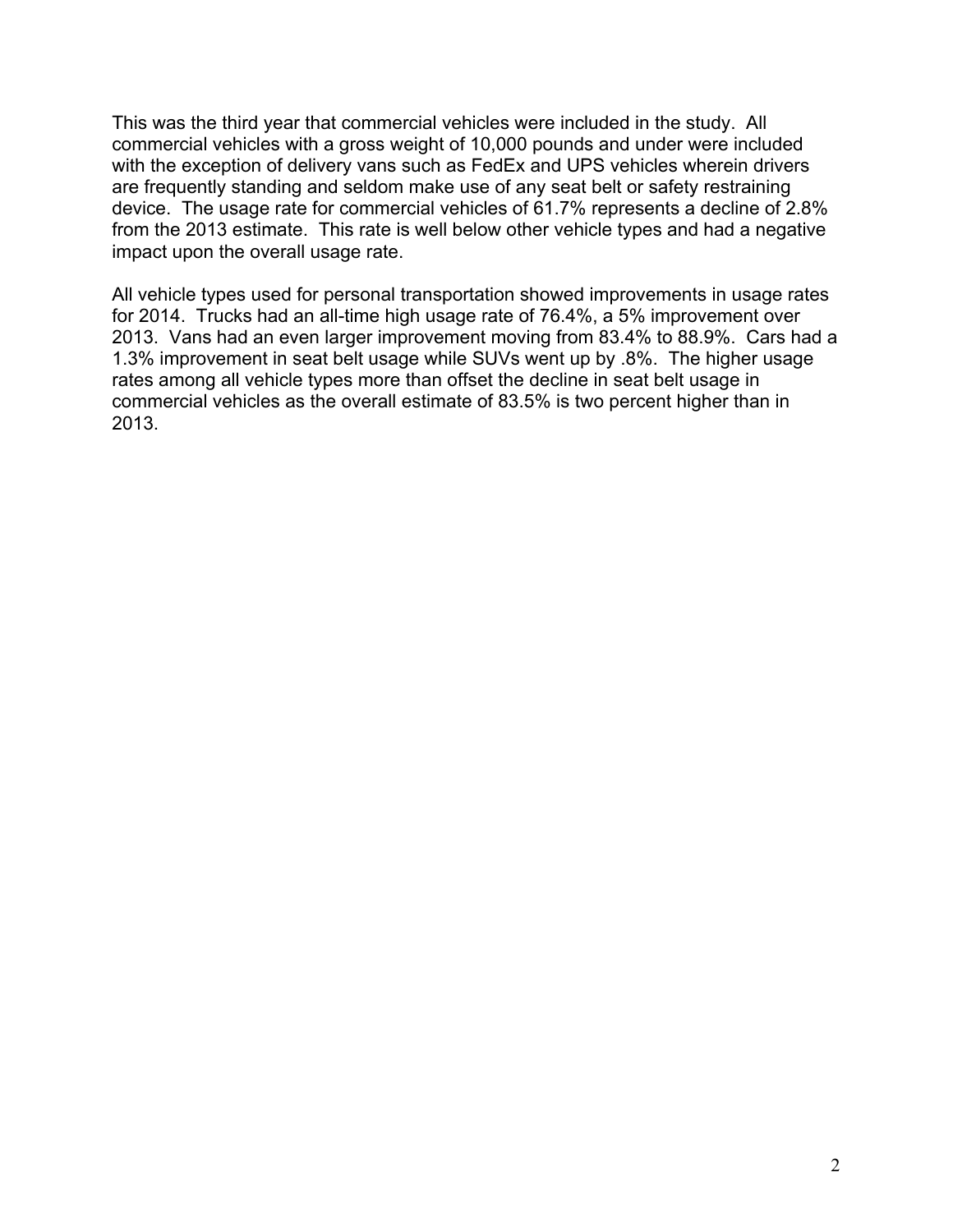This was the third year that commercial vehicles were included in the study. All commercial vehicles with a gross weight of 10,000 pounds and under were included with the exception of delivery vans such as FedEx and UPS vehicles wherein drivers are frequently standing and seldom make use of any seat belt or safety restraining device. The usage rate for commercial vehicles of 61.7% represents a decline of 2.8% from the 2013 estimate. This rate is well below other vehicle types and had a negative impact upon the overall usage rate.

All vehicle types used for personal transportation showed improvements in usage rates for 2014. Trucks had an all-time high usage rate of 76.4%, a 5% improvement over 2013. Vans had an even larger improvement moving from 83.4% to 88.9%. Cars had a 1.3% improvement in seat belt usage while SUVs went up by .8%. The higher usage rates among all vehicle types more than offset the decline in seat belt usage in commercial vehicles as the overall estimate of 83.5% is two percent higher than in 2013.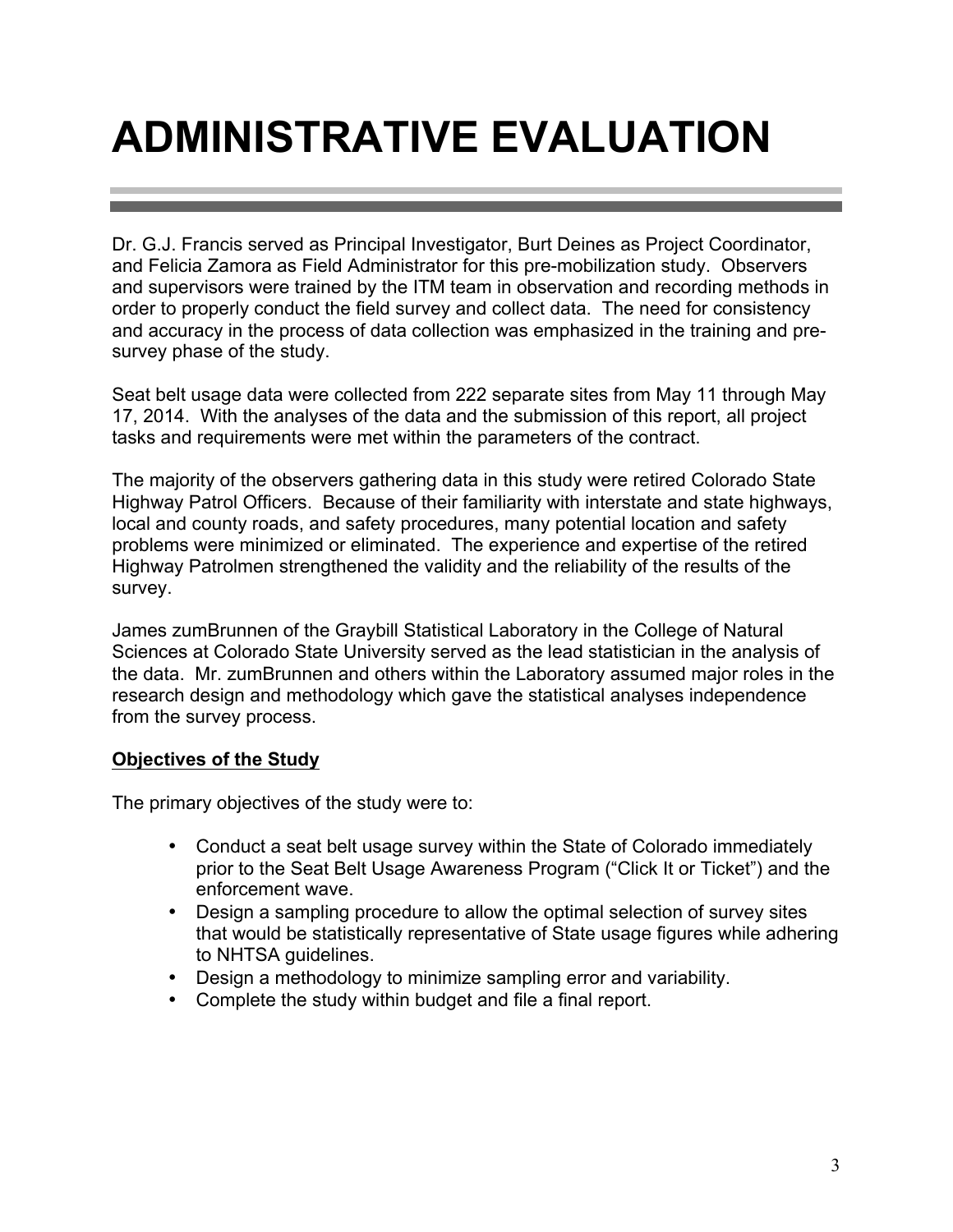### **ADMINISTRATIVE EVALUATION**

Dr. G.J. Francis served as Principal Investigator, Burt Deines as Project Coordinator, and Felicia Zamora as Field Administrator for this pre-mobilization study. Observers and supervisors were trained by the ITM team in observation and recording methods in order to properly conduct the field survey and collect data. The need for consistency and accuracy in the process of data collection was emphasized in the training and presurvey phase of the study.

Seat belt usage data were collected from 222 separate sites from May 11 through May 17, 2014. With the analyses of the data and the submission of this report, all project tasks and requirements were met within the parameters of the contract.

The majority of the observers gathering data in this study were retired Colorado State Highway Patrol Officers. Because of their familiarity with interstate and state highways, local and county roads, and safety procedures, many potential location and safety problems were minimized or eliminated. The experience and expertise of the retired Highway Patrolmen strengthened the validity and the reliability of the results of the survey.

James zumBrunnen of the Graybill Statistical Laboratory in the College of Natural Sciences at Colorado State University served as the lead statistician in the analysis of the data. Mr. zumBrunnen and others within the Laboratory assumed major roles in the research design and methodology which gave the statistical analyses independence from the survey process.

#### **Objectives of the Study**

The primary objectives of the study were to:

- Conduct a seat belt usage survey within the State of Colorado immediately prior to the Seat Belt Usage Awareness Program ("Click It or Ticket") and the enforcement wave.
- Design a sampling procedure to allow the optimal selection of survey sites that would be statistically representative of State usage figures while adhering to NHTSA guidelines.
- Design a methodology to minimize sampling error and variability.
- Complete the study within budget and file a final report.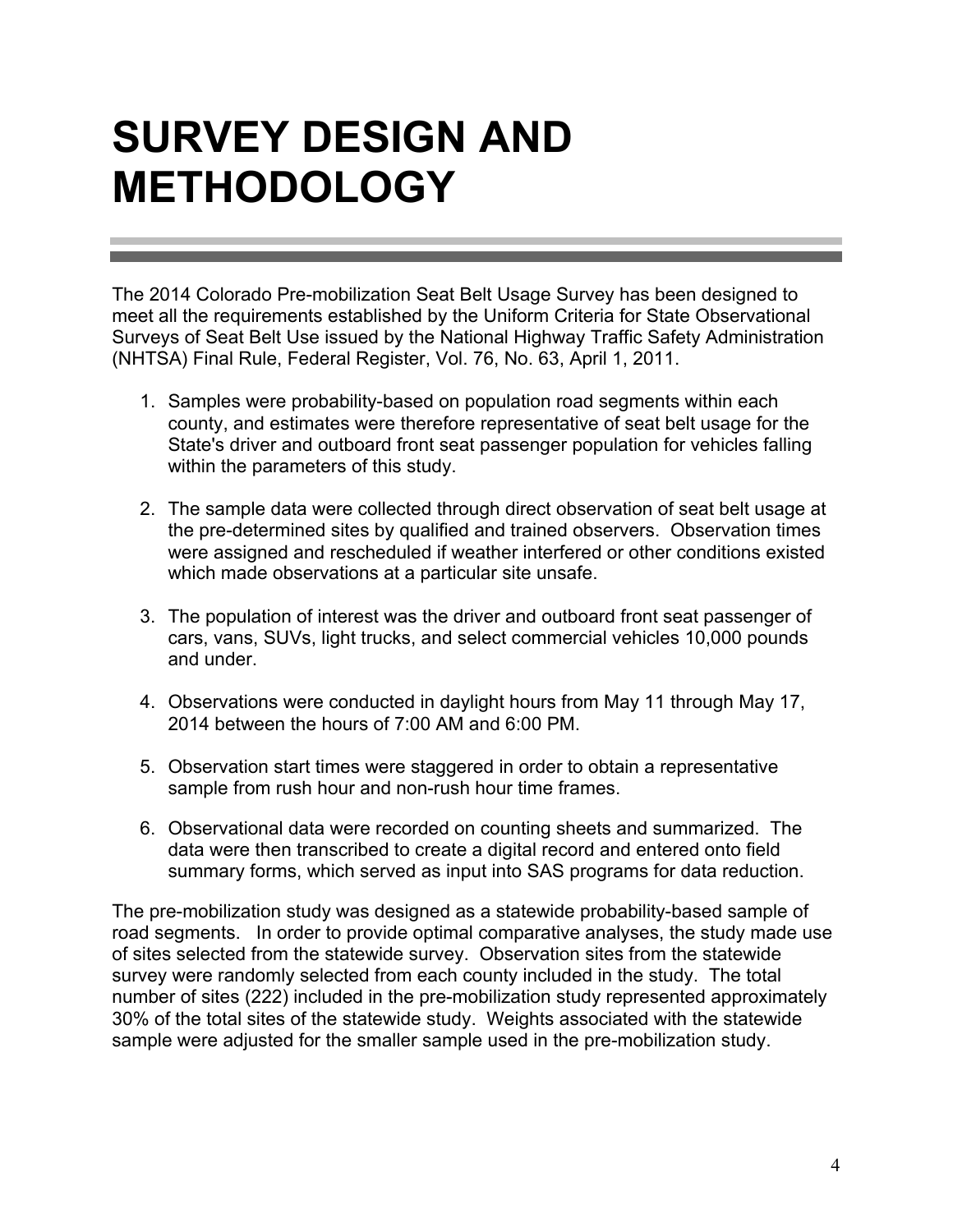### **SURVEY DESIGN AND METHODOLOGY**

The 2014 Colorado Pre-mobilization Seat Belt Usage Survey has been designed to meet all the requirements established by the Uniform Criteria for State Observational Surveys of Seat Belt Use issued by the National Highway Traffic Safety Administration (NHTSA) Final Rule, Federal Register, Vol. 76, No. 63, April 1, 2011.

- 1. Samples were probability-based on population road segments within each county, and estimates were therefore representative of seat belt usage for the State's driver and outboard front seat passenger population for vehicles falling within the parameters of this study.
- 2. The sample data were collected through direct observation of seat belt usage at the pre-determined sites by qualified and trained observers. Observation times were assigned and rescheduled if weather interfered or other conditions existed which made observations at a particular site unsafe.
- 3. The population of interest was the driver and outboard front seat passenger of cars, vans, SUVs, light trucks, and select commercial vehicles 10,000 pounds and under.
- 4. Observations were conducted in daylight hours from May 11 through May 17, 2014 between the hours of 7:00 AM and 6:00 PM.
- 5. Observation start times were staggered in order to obtain a representative sample from rush hour and non-rush hour time frames.
- 6. Observational data were recorded on counting sheets and summarized. The data were then transcribed to create a digital record and entered onto field summary forms, which served as input into SAS programs for data reduction.

The pre-mobilization study was designed as a statewide probability-based sample of road segments. In order to provide optimal comparative analyses, the study made use of sites selected from the statewide survey. Observation sites from the statewide survey were randomly selected from each county included in the study. The total number of sites (222) included in the pre-mobilization study represented approximately 30% of the total sites of the statewide study. Weights associated with the statewide sample were adjusted for the smaller sample used in the pre-mobilization study.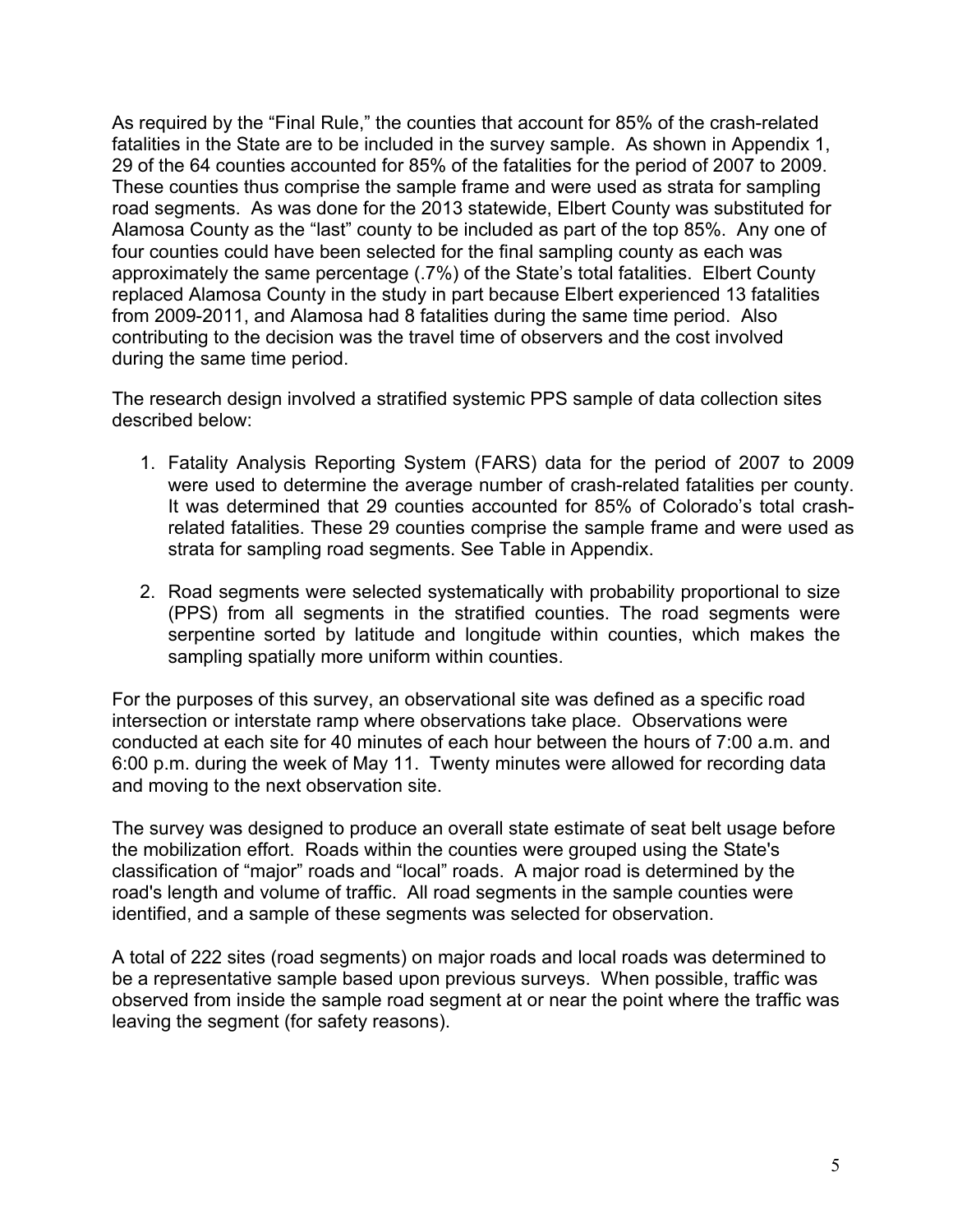As required by the "Final Rule," the counties that account for 85% of the crash-related fatalities in the State are to be included in the survey sample. As shown in Appendix 1, 29 of the 64 counties accounted for 85% of the fatalities for the period of 2007 to 2009. These counties thus comprise the sample frame and were used as strata for sampling road segments. As was done for the 2013 statewide, Elbert County was substituted for Alamosa County as the "last" county to be included as part of the top 85%. Any one of four counties could have been selected for the final sampling county as each was approximately the same percentage (.7%) of the State's total fatalities. Elbert County replaced Alamosa County in the study in part because Elbert experienced 13 fatalities from 2009-2011, and Alamosa had 8 fatalities during the same time period. Also contributing to the decision was the travel time of observers and the cost involved during the same time period.

The research design involved a stratified systemic PPS sample of data collection sites described below:

- 1. Fatality Analysis Reporting System (FARS) data for the period of 2007 to 2009 were used to determine the average number of crash-related fatalities per county. It was determined that 29 counties accounted for 85% of Colorado's total crashrelated fatalities. These 29 counties comprise the sample frame and were used as strata for sampling road segments. See Table in Appendix.
- 2. Road segments were selected systematically with probability proportional to size (PPS) from all segments in the stratified counties. The road segments were serpentine sorted by latitude and longitude within counties, which makes the sampling spatially more uniform within counties.

For the purposes of this survey, an observational site was defined as a specific road intersection or interstate ramp where observations take place. Observations were conducted at each site for 40 minutes of each hour between the hours of 7:00 a.m. and 6:00 p.m. during the week of May 11. Twenty minutes were allowed for recording data and moving to the next observation site.

The survey was designed to produce an overall state estimate of seat belt usage before the mobilization effort. Roads within the counties were grouped using the State's classification of "major" roads and "local" roads. A major road is determined by the road's length and volume of traffic. All road segments in the sample counties were identified, and a sample of these segments was selected for observation.

A total of 222 sites (road segments) on major roads and local roads was determined to be a representative sample based upon previous surveys. When possible, traffic was observed from inside the sample road segment at or near the point where the traffic was leaving the segment (for safety reasons).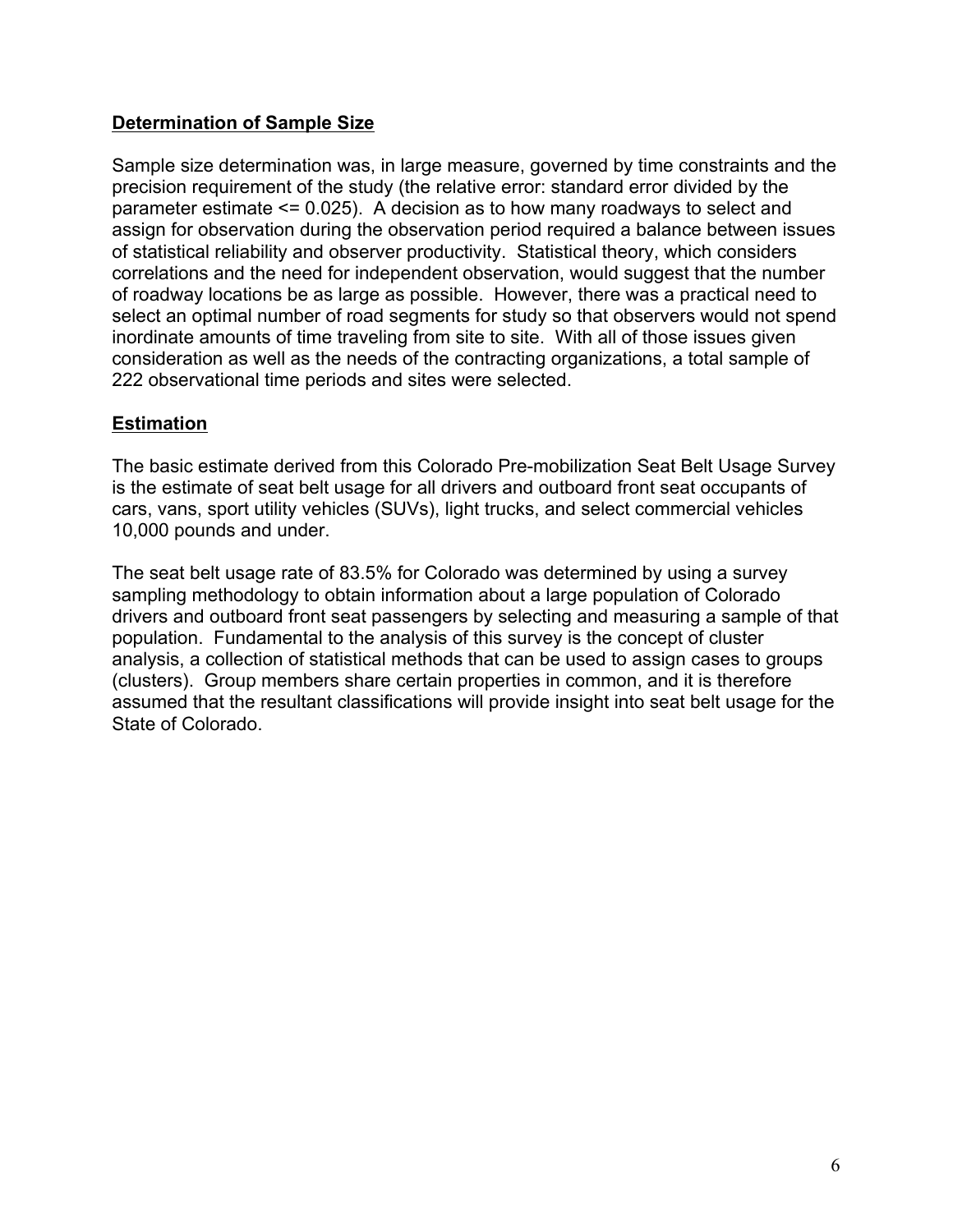### **Determination of Sample Size**

Sample size determination was, in large measure, governed by time constraints and the precision requirement of the study (the relative error: standard error divided by the parameter estimate <= 0.025). A decision as to how many roadways to select and assign for observation during the observation period required a balance between issues of statistical reliability and observer productivity. Statistical theory, which considers correlations and the need for independent observation, would suggest that the number of roadway locations be as large as possible. However, there was a practical need to select an optimal number of road segments for study so that observers would not spend inordinate amounts of time traveling from site to site. With all of those issues given consideration as well as the needs of the contracting organizations, a total sample of 222 observational time periods and sites were selected.

### **Estimation**

The basic estimate derived from this Colorado Pre-mobilization Seat Belt Usage Survey is the estimate of seat belt usage for all drivers and outboard front seat occupants of cars, vans, sport utility vehicles (SUVs), light trucks, and select commercial vehicles 10,000 pounds and under.

The seat belt usage rate of 83.5% for Colorado was determined by using a survey sampling methodology to obtain information about a large population of Colorado drivers and outboard front seat passengers by selecting and measuring a sample of that population. Fundamental to the analysis of this survey is the concept of cluster analysis, a collection of statistical methods that can be used to assign cases to groups (clusters). Group members share certain properties in common, and it is therefore assumed that the resultant classifications will provide insight into seat belt usage for the State of Colorado.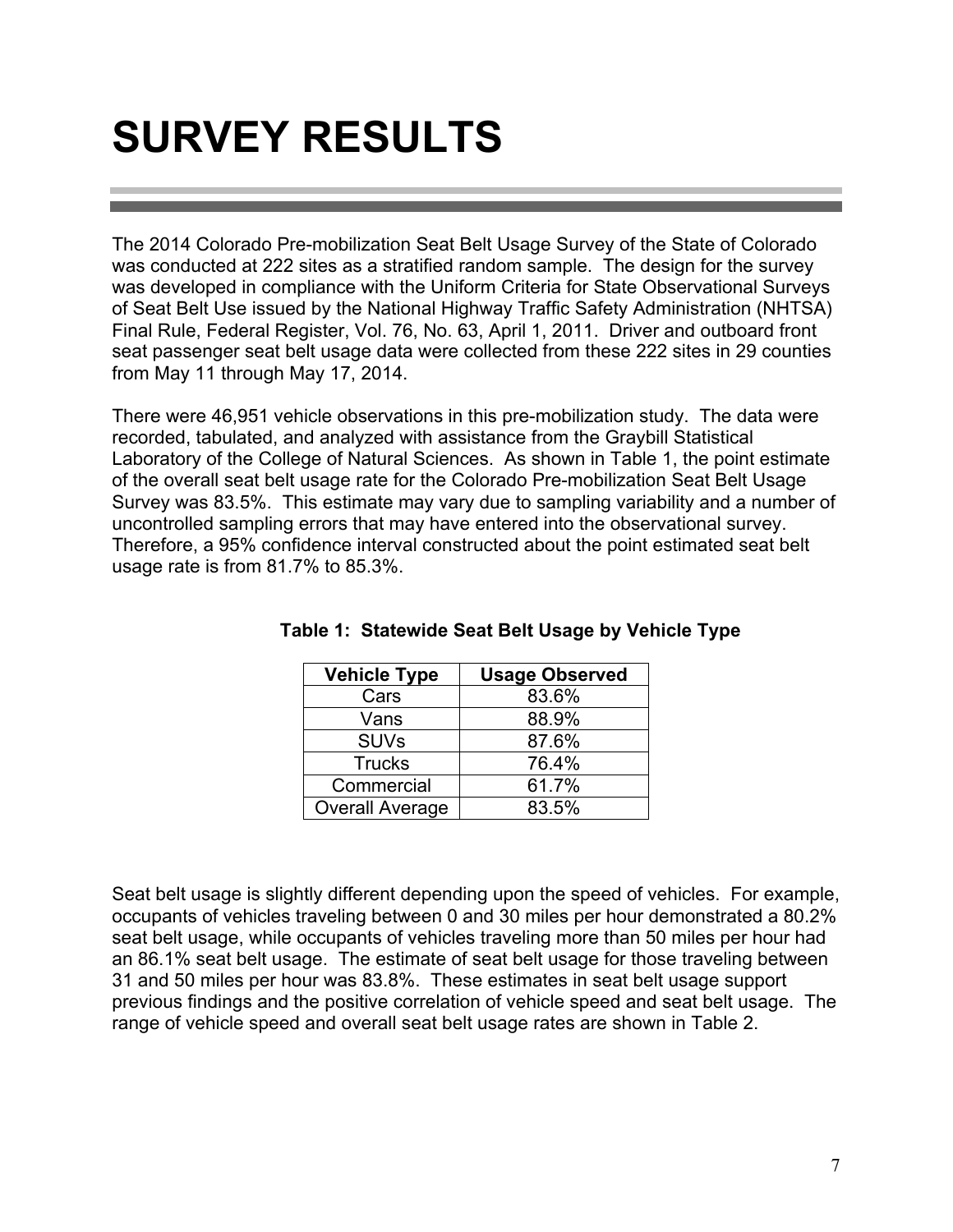### **SURVEY RESULTS**

The 2014 Colorado Pre-mobilization Seat Belt Usage Survey of the State of Colorado was conducted at 222 sites as a stratified random sample. The design for the survey was developed in compliance with the Uniform Criteria for State Observational Surveys of Seat Belt Use issued by the National Highway Traffic Safety Administration (NHTSA) Final Rule, Federal Register, Vol. 76, No. 63, April 1, 2011. Driver and outboard front seat passenger seat belt usage data were collected from these 222 sites in 29 counties from May 11 through May 17, 2014.

There were 46,951 vehicle observations in this pre-mobilization study. The data were recorded, tabulated, and analyzed with assistance from the Graybill Statistical Laboratory of the College of Natural Sciences. As shown in Table 1, the point estimate of the overall seat belt usage rate for the Colorado Pre-mobilization Seat Belt Usage Survey was 83.5%. This estimate may vary due to sampling variability and a number of uncontrolled sampling errors that may have entered into the observational survey. Therefore, a 95% confidence interval constructed about the point estimated seat belt usage rate is from 81.7% to 85.3%.

| <b>Vehicle Type</b>    | <b>Usage Observed</b> |
|------------------------|-----------------------|
| Cars                   | 83.6%                 |
| Vans                   | 88.9%                 |
| <b>SUVs</b>            | 87.6%                 |
| <b>Trucks</b>          | 76.4%                 |
| Commercial             | 61.7%                 |
| <b>Overall Average</b> | 83.5%                 |

|  | Table 1: Statewide Seat Belt Usage by Vehicle Type |  |  |  |  |
|--|----------------------------------------------------|--|--|--|--|
|--|----------------------------------------------------|--|--|--|--|

Seat belt usage is slightly different depending upon the speed of vehicles. For example, occupants of vehicles traveling between 0 and 30 miles per hour demonstrated a 80.2% seat belt usage, while occupants of vehicles traveling more than 50 miles per hour had an 86.1% seat belt usage. The estimate of seat belt usage for those traveling between 31 and 50 miles per hour was 83.8%. These estimates in seat belt usage support previous findings and the positive correlation of vehicle speed and seat belt usage. The range of vehicle speed and overall seat belt usage rates are shown in Table 2.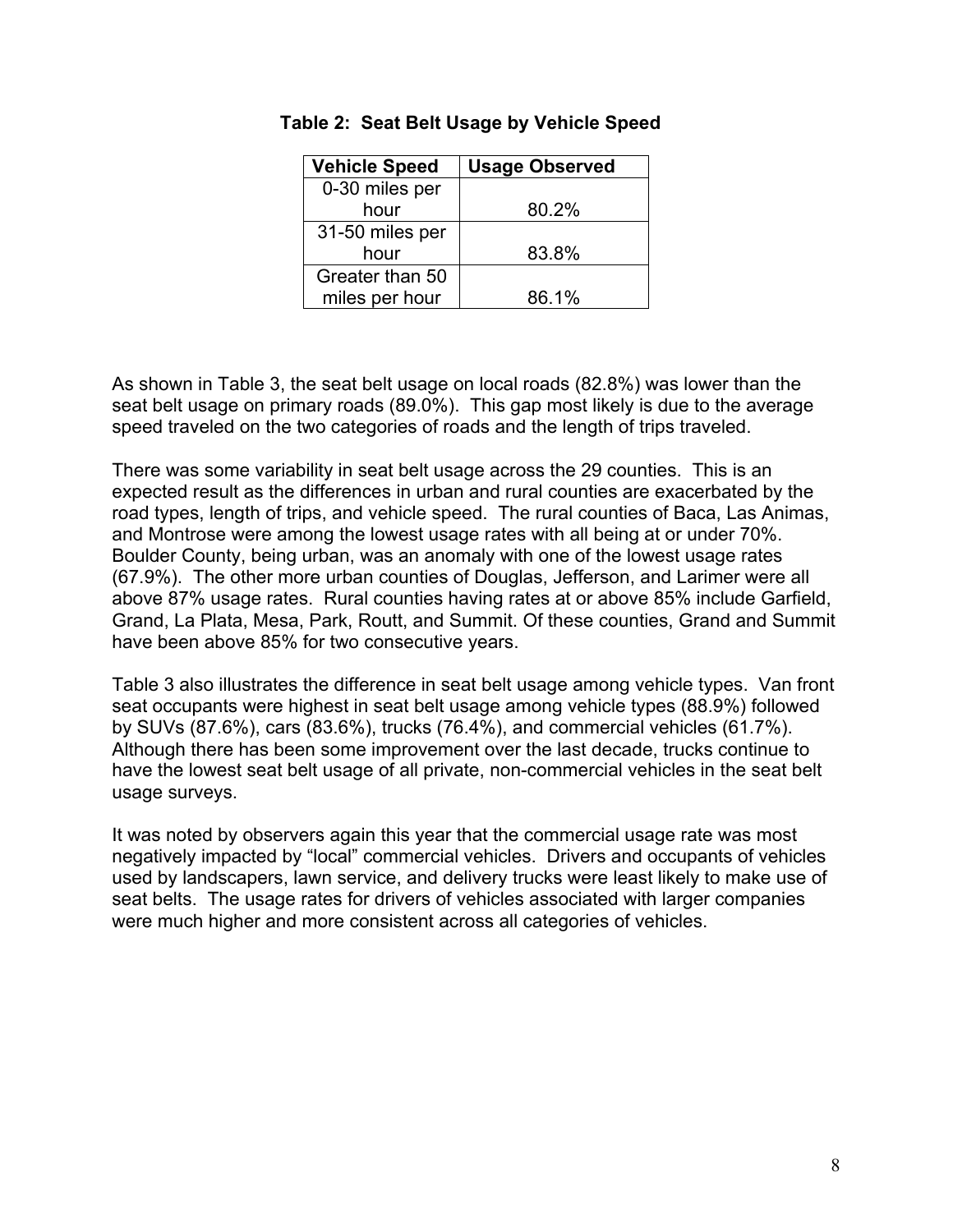| <b>Vehicle Speed</b> | <b>Usage Observed</b> |
|----------------------|-----------------------|
| 0-30 miles per       |                       |
| hour                 | 80.2%                 |
| 31-50 miles per      |                       |
| hour                 | 83.8%                 |
| Greater than 50      |                       |
| miles per hour       | 86.1%                 |

#### **Table 2: Seat Belt Usage by Vehicle Speed**

As shown in Table 3, the seat belt usage on local roads (82.8%) was lower than the seat belt usage on primary roads (89.0%). This gap most likely is due to the average speed traveled on the two categories of roads and the length of trips traveled.

There was some variability in seat belt usage across the 29 counties. This is an expected result as the differences in urban and rural counties are exacerbated by the road types, length of trips, and vehicle speed. The rural counties of Baca, Las Animas, and Montrose were among the lowest usage rates with all being at or under 70%. Boulder County, being urban, was an anomaly with one of the lowest usage rates (67.9%). The other more urban counties of Douglas, Jefferson, and Larimer were all above 87% usage rates. Rural counties having rates at or above 85% include Garfield, Grand, La Plata, Mesa, Park, Routt, and Summit. Of these counties, Grand and Summit have been above 85% for two consecutive years.

Table 3 also illustrates the difference in seat belt usage among vehicle types. Van front seat occupants were highest in seat belt usage among vehicle types (88.9%) followed by SUVs (87.6%), cars (83.6%), trucks (76.4%), and commercial vehicles (61.7%). Although there has been some improvement over the last decade, trucks continue to have the lowest seat belt usage of all private, non-commercial vehicles in the seat belt usage surveys.

It was noted by observers again this year that the commercial usage rate was most negatively impacted by "local" commercial vehicles. Drivers and occupants of vehicles used by landscapers, lawn service, and delivery trucks were least likely to make use of seat belts. The usage rates for drivers of vehicles associated with larger companies were much higher and more consistent across all categories of vehicles.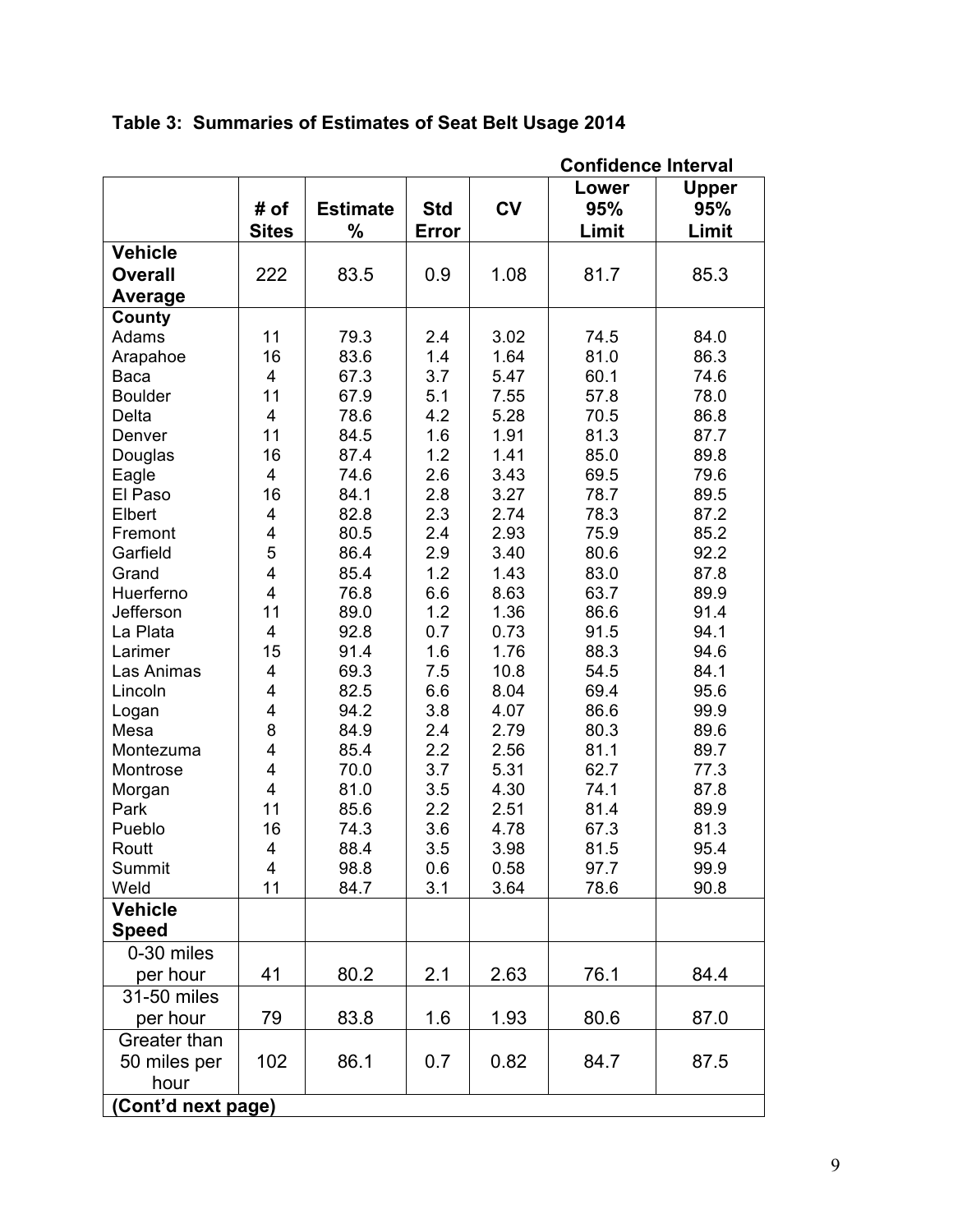|                    |                         |                 |            |           | <b>Confidence Interval</b> |              |  |
|--------------------|-------------------------|-----------------|------------|-----------|----------------------------|--------------|--|
|                    |                         |                 |            |           | Lower                      | <b>Upper</b> |  |
|                    | # of                    | <b>Estimate</b> | <b>Std</b> | <b>CV</b> | 95%                        | 95%          |  |
|                    | <b>Sites</b>            | $\%$            | Error      |           | Limit                      | Limit        |  |
| <b>Vehicle</b>     |                         |                 |            |           |                            |              |  |
| <b>Overall</b>     | 222                     | 83.5            | 0.9        | 1.08      | 81.7                       | 85.3         |  |
| Average            |                         |                 |            |           |                            |              |  |
| County             |                         |                 |            |           |                            |              |  |
| Adams              | 11                      | 79.3            | 2.4        | 3.02      | 74.5                       | 84.0         |  |
| Arapahoe           | 16                      | 83.6            | 1.4        | 1.64      | 81.0                       | 86.3         |  |
| Baca               | 4                       | 67.3            | 3.7        | 5.47      | 60.1                       | 74.6         |  |
| <b>Boulder</b>     | 11                      | 67.9            | 5.1        | 7.55      | 57.8                       | 78.0         |  |
| Delta              | $\overline{\mathbf{4}}$ | 78.6            | 4.2        | 5.28      | 70.5                       | 86.8         |  |
| Denver             | 11                      | 84.5            | 1.6        | 1.91      | 81.3                       | 87.7         |  |
| Douglas            | 16                      | 87.4            | 1.2        | 1.41      | 85.0                       | 89.8         |  |
| Eagle              | $\overline{4}$          | 74.6            | 2.6        | 3.43      | 69.5                       | 79.6         |  |
| El Paso            | 16                      | 84.1            | 2.8        | 3.27      | 78.7                       | 89.5         |  |
| Elbert             | $\overline{\mathbf{4}}$ | 82.8            | 2.3        | 2.74      | 78.3                       | 87.2         |  |
| Fremont            | $\overline{\mathbf{4}}$ | 80.5            | 2.4        | 2.93      | 75.9                       | 85.2         |  |
| Garfield           | 5                       | 86.4            | 2.9        | 3.40      | 80.6                       | 92.2         |  |
| Grand              | $\overline{\mathbf{4}}$ | 85.4            | 1.2        | 1.43      | 83.0                       | 87.8         |  |
| Huerferno          | $\overline{\mathbf{4}}$ | 76.8            | 6.6        | 8.63      | 63.7                       | 89.9         |  |
| Jefferson          | 11                      | 89.0            | 1.2        | 1.36      | 86.6                       | 91.4         |  |
| La Plata           | $\overline{\mathbf{4}}$ | 92.8            | 0.7        | 0.73      | 91.5                       | 94.1         |  |
| Larimer            | 15                      | 91.4            | 1.6        | 1.76      | 88.3                       | 94.6         |  |
| Las Animas         | 4                       | 69.3            | 7.5        | 10.8      | 54.5                       | 84.1         |  |
| Lincoln            | $\overline{\mathbf{4}}$ | 82.5            | 6.6        | 8.04      | 69.4                       | 95.6         |  |
| Logan              | $\overline{\mathbf{4}}$ | 94.2            | 3.8        | 4.07      | 86.6                       | 99.9         |  |
| Mesa               | 8                       | 84.9            | 2.4        | 2.79      | 80.3                       | 89.6         |  |
| Montezuma          | 4                       | 85.4            | 2.2        | 2.56      | 81.1                       | 89.7         |  |
| Montrose           | $\overline{4}$          | 70.0            | 3.7        | 5.31      | 62.7                       | 77.3         |  |
| Morgan             | $\overline{\mathbf{4}}$ | 81.0            | 3.5        | 4.30      | 74.1                       | 87.8         |  |
| Park               | 11                      | 85.6            | 2.2        | 2.51      | 81.4                       | 89.9         |  |
| Pueblo             | 16                      | 74.3            | 3.6        | 4.78      | 67.3                       | 81.3         |  |
| Routt              | $\overline{\mathbf{4}}$ | 88.4            | 3.5        | 3.98      | 81.5                       | 95.4         |  |
| Summit             | $\overline{4}$          | 98.8            | 0.6        | 0.58      | 97.7                       | 99.9         |  |
| Weld               | 11                      | 84.7            | 3.1        | 3.64      | 78.6                       | 90.8         |  |
| <b>Vehicle</b>     |                         |                 |            |           |                            |              |  |
| <b>Speed</b>       |                         |                 |            |           |                            |              |  |
| 0-30 miles         |                         |                 |            |           |                            |              |  |
| per hour           | 41                      | 80.2            | 2.1        | 2.63      | 76.1                       | 84.4         |  |
| 31-50 miles        |                         |                 |            |           |                            |              |  |
| per hour           | 79                      | 83.8            | 1.6        | 1.93      | 80.6                       | 87.0         |  |
| Greater than       |                         |                 |            |           |                            |              |  |
| 50 miles per       | 102                     | 86.1            | 0.7        | 0.82      | 84.7                       | 87.5         |  |
| hour               |                         |                 |            |           |                            |              |  |
| (Cont'd next page) |                         |                 |            |           |                            |              |  |
|                    |                         |                 |            |           |                            |              |  |

**Table 3: Summaries of Estimates of Seat Belt Usage 2014**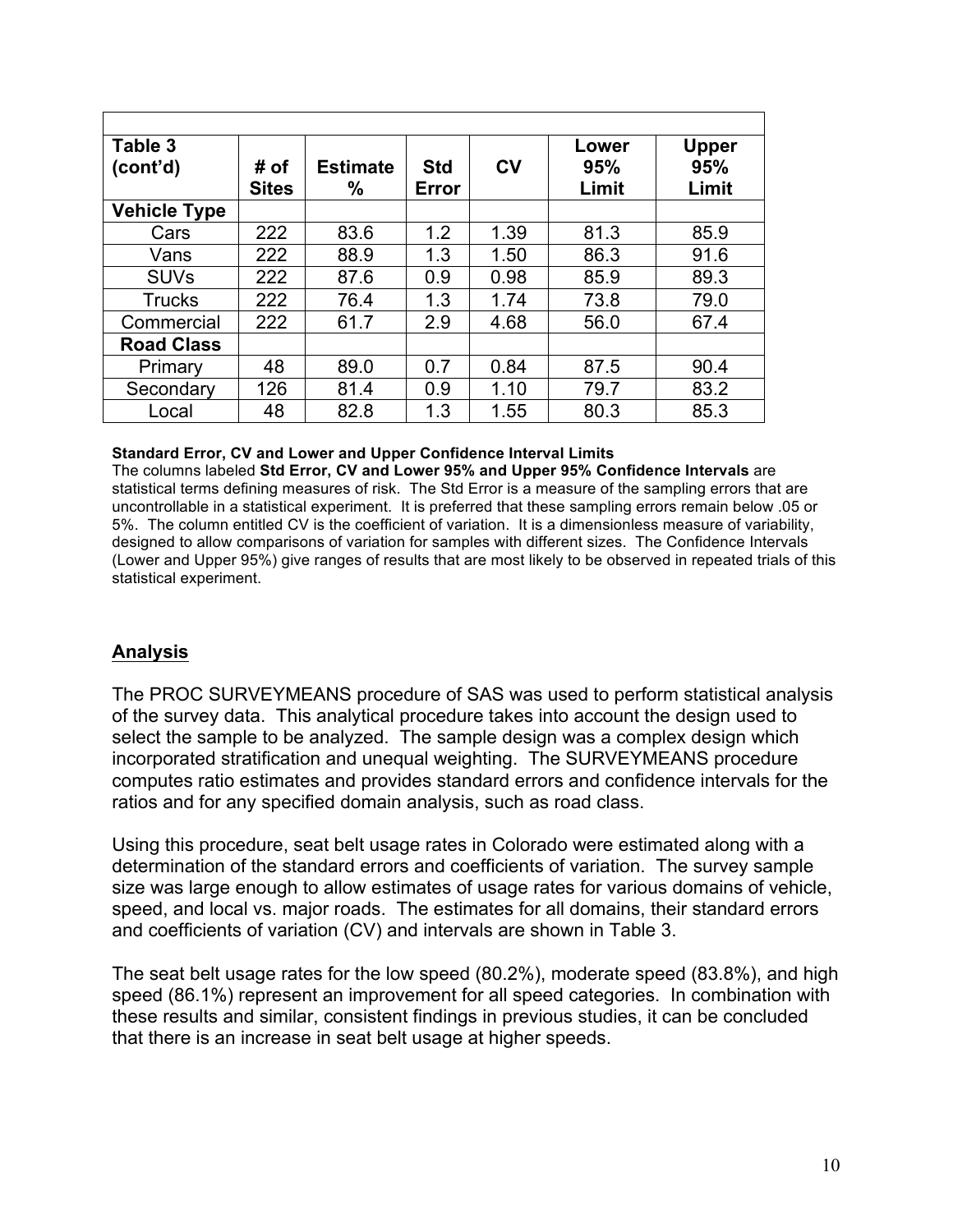| Table 3             |              |                 |            |                | Lower | <b>Upper</b> |
|---------------------|--------------|-----------------|------------|----------------|-------|--------------|
| (cont'd)            | # of         | <b>Estimate</b> | <b>Std</b> | c <sub>V</sub> | 95%   | 95%          |
|                     | <b>Sites</b> | %               | Error      |                | Limit | Limit        |
| <b>Vehicle Type</b> |              |                 |            |                |       |              |
| Cars                | 222          | 83.6            | 1.2        | 1.39           | 81.3  | 85.9         |
| Vans                | 222          | 88.9            | 1.3        | 1.50           | 86.3  | 91.6         |
| <b>SUVs</b>         | 222          | 87.6            | 0.9        | 0.98           | 85.9  | 89.3         |
| <b>Trucks</b>       | 222          | 76.4            | 1.3        | 1.74           | 73.8  | 79.0         |
| Commercial          | 222          | 61.7            | 2.9        | 4.68           | 56.0  | 67.4         |
| <b>Road Class</b>   |              |                 |            |                |       |              |
| Primary             | 48           | 89.0            | 0.7        | 0.84           | 87.5  | 90.4         |
| Secondary           | 126          | 81.4            | 0.9        | 1.10           | 79.7  | 83.2         |
| Local               | 48           | 82.8            | 1.3        | 1.55           | 80.3  | 85.3         |

#### **Standard Error, CV and Lower and Upper Confidence Interval Limits**

The columns labeled **Std Error, CV and Lower 95% and Upper 95% Confidence Intervals** are statistical terms defining measures of risk. The Std Error is a measure of the sampling errors that are uncontrollable in a statistical experiment. It is preferred that these sampling errors remain below .05 or 5%. The column entitled CV is the coefficient of variation. It is a dimensionless measure of variability, designed to allow comparisons of variation for samples with different sizes. The Confidence Intervals (Lower and Upper 95%) give ranges of results that are most likely to be observed in repeated trials of this statistical experiment.

#### **Analysis**

The PROC SURVEYMEANS procedure of SAS was used to perform statistical analysis of the survey data. This analytical procedure takes into account the design used to select the sample to be analyzed. The sample design was a complex design which incorporated stratification and unequal weighting. The SURVEYMEANS procedure computes ratio estimates and provides standard errors and confidence intervals for the ratios and for any specified domain analysis, such as road class.

Using this procedure, seat belt usage rates in Colorado were estimated along with a determination of the standard errors and coefficients of variation. The survey sample size was large enough to allow estimates of usage rates for various domains of vehicle, speed, and local vs. major roads. The estimates for all domains, their standard errors and coefficients of variation (CV) and intervals are shown in Table 3.

The seat belt usage rates for the low speed (80.2%), moderate speed (83.8%), and high speed (86.1%) represent an improvement for all speed categories. In combination with these results and similar, consistent findings in previous studies, it can be concluded that there is an increase in seat belt usage at higher speeds.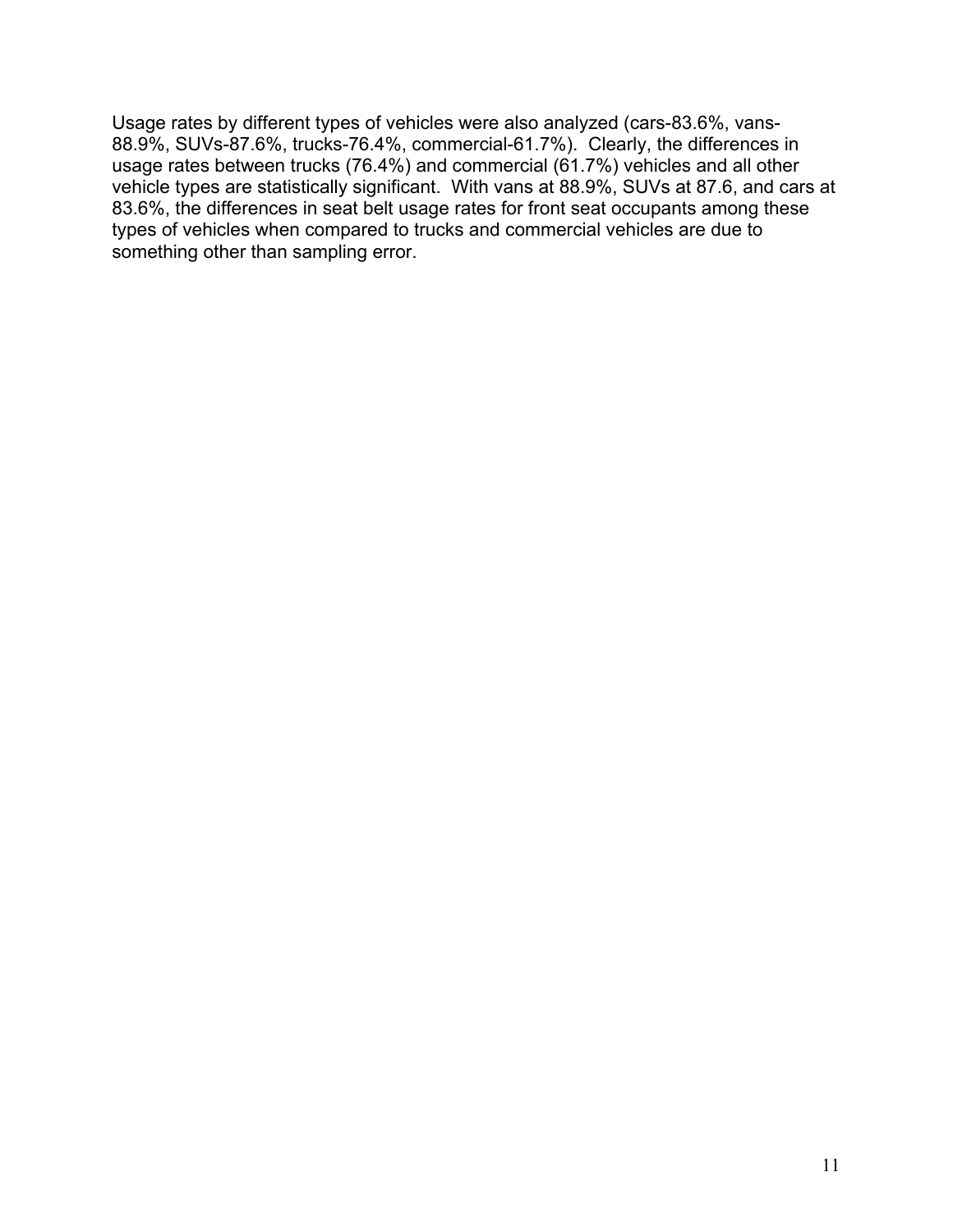Usage rates by different types of vehicles were also analyzed (cars-83.6%, vans-88.9%, SUVs-87.6%, trucks-76.4%, commercial-61.7%). Clearly, the differences in usage rates between trucks (76.4%) and commercial (61.7%) vehicles and all other vehicle types are statistically significant. With vans at 88.9%, SUVs at 87.6, and cars at 83.6%, the differences in seat belt usage rates for front seat occupants among these types of vehicles when compared to trucks and commercial vehicles are due to something other than sampling error.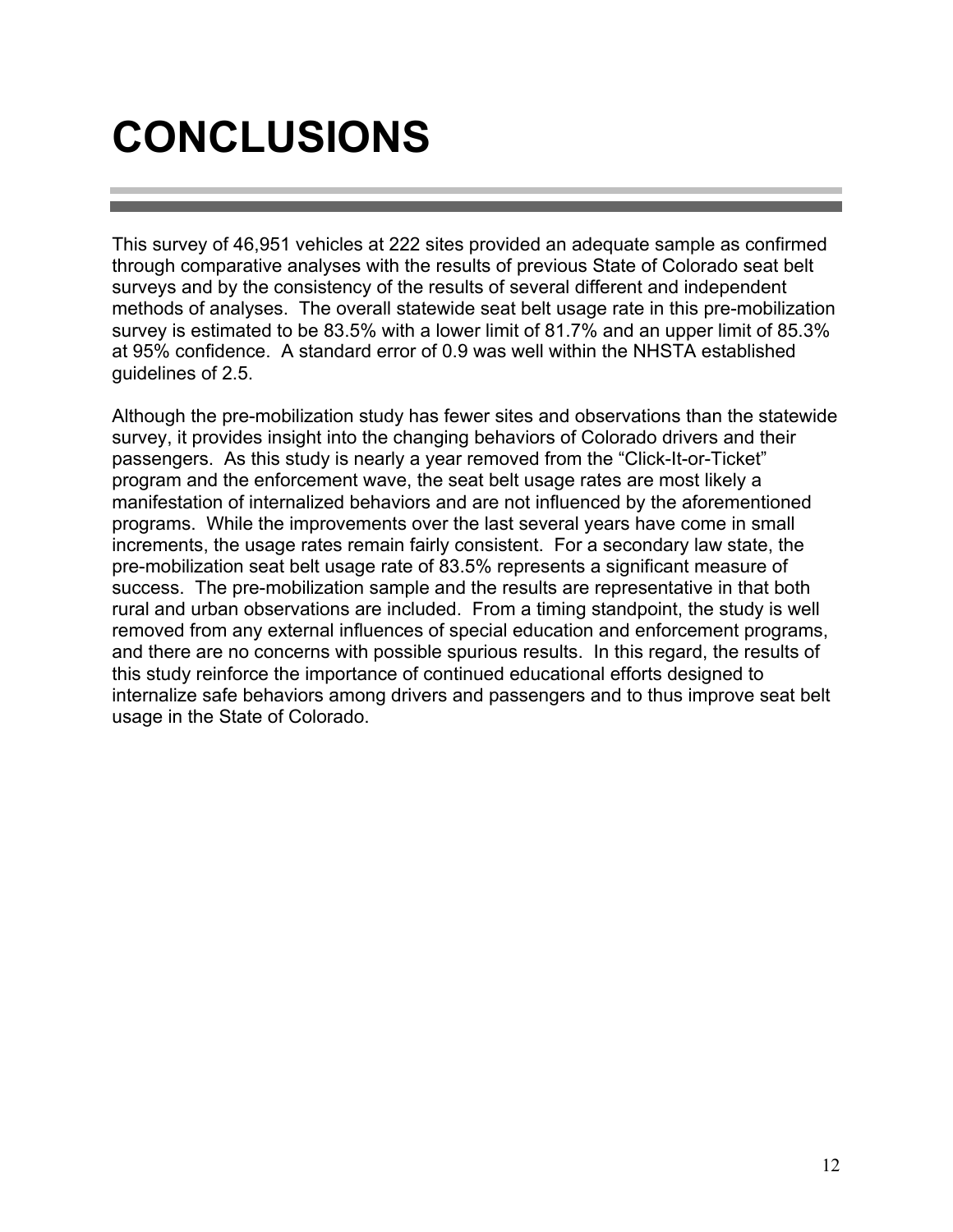### **CONCLUSIONS**

This survey of 46,951 vehicles at 222 sites provided an adequate sample as confirmed through comparative analyses with the results of previous State of Colorado seat belt surveys and by the consistency of the results of several different and independent methods of analyses. The overall statewide seat belt usage rate in this pre-mobilization survey is estimated to be 83.5% with a lower limit of 81.7% and an upper limit of 85.3% at 95% confidence. A standard error of 0.9 was well within the NHSTA established guidelines of 2.5.

Although the pre-mobilization study has fewer sites and observations than the statewide survey, it provides insight into the changing behaviors of Colorado drivers and their passengers. As this study is nearly a year removed from the "Click-It-or-Ticket" program and the enforcement wave, the seat belt usage rates are most likely a manifestation of internalized behaviors and are not influenced by the aforementioned programs. While the improvements over the last several years have come in small increments, the usage rates remain fairly consistent. For a secondary law state, the pre-mobilization seat belt usage rate of 83.5% represents a significant measure of success. The pre-mobilization sample and the results are representative in that both rural and urban observations are included. From a timing standpoint, the study is well removed from any external influences of special education and enforcement programs, and there are no concerns with possible spurious results. In this regard, the results of this study reinforce the importance of continued educational efforts designed to internalize safe behaviors among drivers and passengers and to thus improve seat belt usage in the State of Colorado.